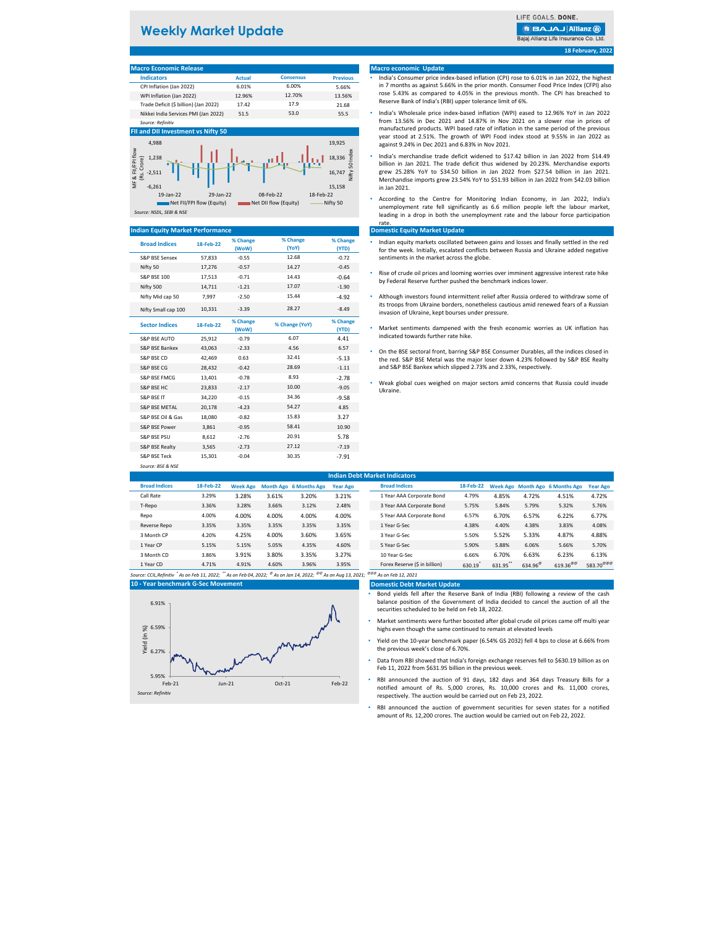## **Weekly Market Update**

LIFE GOALS, DONE

**B BAJAJ Allianz (ii)** 

Bajaj Allianz Life Insurance Co. Ltd

**18 February, 2022**

# **Macro Economic Release**

| <b>Indicators</b>                     | <b>Actual</b> | <b>Consensus</b> | <b>Previous</b> |
|---------------------------------------|---------------|------------------|-----------------|
| CPI Inflation (Jan 2022)              | 6.01%         | 6.00%            | 5.66%           |
| WPI Inflation (Jan 2022)              | 12.96%        | 12.70%           | 13.56%          |
| Trade Deficit (\$ billion) (Jan 2022) | 17.42         | 17.9             | 21.68           |
| Nikkei India Services PMI (Jan 2022)  | 51.5          | 53.0             | 55.5            |
| Source: Refinitiv                     |               |                  |                 |

#### **FII and DII Investment vs Nifty**



#### **Indian Equity Market Performance**

| <b>Broad Indices</b>      | 18-Feb-22 | % Change<br>(WoW) | % Change<br>(YoY) | % Change<br>(YTD) |
|---------------------------|-----------|-------------------|-------------------|-------------------|
| <b>S&amp;P BSE Sensex</b> | 57,833    | $-0.55$           | 12.68             | $-0.72$           |
| Nifty 50                  | 17.276    | $-0.57$           | 14.27             | $-0.45$           |
| <b>S&amp;P BSF 100</b>    | 17,513    | $-0.71$           | 14.43             | $-0.64$           |
| Nifty 500                 | 14.711    | $-1.21$           | 17.07             | $-1.90$           |
| Nifty Mid cap 50          | 7,997     | $-2.50$           | 15.44             | $-4.92$           |
| Nifty Small cap 100       | 10,331    | $-3.39$           | 28.27             | $-8.49$           |
| <b>Sector Indices</b>     | 18-Feb-22 | % Change<br>(WoW) | % Change (YoY)    | % Change<br>(YTD) |
| S&P RSF AUTO              | 25.912    | $-0.79$           | 6.07              | 4.41              |
| S&P BSF Bankex            | 43,063    | $-2.33$           | 4.56              | 6.57              |
| S&P BSE CD                | 42.469    | 0.63              | 32.41             | $-5.13$           |
| S&P BSE CG                | 28.432    | $-0.42$           | 28.69             | $-1.11$           |
| S&P RSF FMCG              | 13,401    | $-0.78$           | 8.93              | $-2.78$           |
| S&P BSF HC                | 23.833    | $-2.17$           | 10.00             | $-9.05$           |
| S&P BSE IT                | 34,220    | $-0.15$           | 34.36             | $-9.58$           |
| S&P BSF MFTAL             | 20,178    | $-4.23$           | 54.27             | 4.85              |
| S&P BSE Oil & Gas         | 18,080    | $-0.82$           | 15.83             | 3.27              |
| S&P RSF Power             | 3.861     | $-0.95$           | 58.41             | 10.90             |
| S&P BSF PSU               | 8.612     | $-2.76$           | 20.91             | 5.78              |
| <b>S&amp;P BSE Realty</b> | 3,565     | $-2.73$           | 27.12             | $-7.19$           |
| <b>S&amp;P RSF Teck</b>   | 15.301    | $-0.04$           | 30.35             | $-7.91$           |

*Source: BSE & NSE*

### **Macro economic Update**

- India's Consumer price index-based inflation (CPI) rose to 6.01% in Jan 2022, the highest in 7 months as against 5.66% in the prior month. Consumer Food Price Index (CFPI) also rose 5.43% as compared to 4.05% in the previous month. The CPI has breached to Reserve Bank of India's (RBI) upper tolerance limit of 6%.
- India's Wholesale price index-based inflation (WPI) eased to 12.96% YoY in Jan 2022 from 13.56% in Dec 2021 and 14.87% in Nov 2021 on a slower rise in prices of manufactured products. WPI based rate of inflation in the same period of the previous year stood at 2.51%. The growth of WPI Food index stood at 9.55% in Jan 2022 as against 9.24% in Dec 2021 and 6.83% in Nov 2021.
- India's merchandise trade deficit widened to \$17.42 billion in Jan 2022 from \$14.49 billion in Jan 2021. The trade deficit thus widened by 20.23%. Merchandise exports grew 25.28% YoY to \$34.50 billion in Jan 2022 from \$27.54 billion in Jan 2021. Merchandise imports grew 23.54% YoY to \$51.93 billion in Jan 2022 from \$42.03 billion in Jan 2021.
- According to the Centre for Monitoring Indian Economy, in Jan 2022, India's unemployment rate fell significantly as 6.6 million people left the labour market, leading in a drop in both the unemployment rate and the labour force participation rate

#### **Domestic Equity Market Update**

- Indian equity markets oscillated between gains and losses and finally settled in the red for the week. Initially, escalated conflicts between Russia and Ukraine added negative sentiments in the market across the globe.
- Rise of crude oil prices and looming worries over imminent aggressive interest rate hike by Federal Reserve further pushed the benchmark indices lower.
- Although investors found intermittent relief after Russia ordered to withdraw some of its troops from Ukraine borders, nonetheless cautious amid renewed fears of a Russian invasion of Ukraine, kept bourses under pressure.
- Market sentiments dampened with the fresh economic worries as UK inflation has indicated towards further rate hike.
- On the BSE sectoral front, barring S&P BSE Consumer Durables, all the indices closed in the red. S&P BSE Metal was the major loser down 4.23% followed by S&P BSE Realty and S&P BSE Bankex which slipped 2.73% and 2.33%, respectively.
- Weak global cues weighed on major sectors amid concerns that Russia could invade Ukraine.

| <b>Indian Debt Market Indicators</b>                                                                            |           |                 |       |                               |                 |                               |           |         |                     |                                 |                       |
|-----------------------------------------------------------------------------------------------------------------|-----------|-----------------|-------|-------------------------------|-----------------|-------------------------------|-----------|---------|---------------------|---------------------------------|-----------------------|
| <b>Broad Indices</b>                                                                                            | 18-Feb-22 | <b>Week Ago</b> |       | <b>Month Ago 6 Months Ago</b> | <b>Year Ago</b> | <b>Broad Indices</b>          | 18-Feb-22 |         |                     | Week Ago Month Ago 6 Months Ago | <b>Year Ago</b>       |
| Call Rate                                                                                                       | 3.29%     | 3.28%           | 3.61% | 3.20%                         | 3.21%           | 1 Year AAA Corporate Bond     | 4.79%     | 4.85%   | 4.72%               | 4.51%                           | 4.72%                 |
| T-Repo                                                                                                          | 3.36%     | 3.28%           | 3.66% | 3.12%                         | 2.48%           | 3 Year AAA Corporate Bond     | 5.75%     | 5.84%   | 5.79%               | 5.32%                           | 5.76%                 |
| Repo                                                                                                            | 4.00%     | 4.00%           | 4.00% | 4.00%                         | 4.00%           | 5 Year AAA Corporate Bond     | 6.57%     | 6.70%   | 6.57%               | 6.22%                           | 6.77%                 |
| Reverse Repo                                                                                                    | 3.35%     | 3.35%           | 3.35% | 3.35%                         | 3.35%           | 1 Year G-Sec                  | 4.38%     | 4.40%   | 4.38%               | 3.83%                           | 4.08%                 |
| 3 Month CP                                                                                                      | 4.20%     | 4.25%           | 4.00% | 3.60%                         | 3.65%           | 3 Year G-Sec                  | 5.50%     | 5.52%   | 5.33%               | 4.87%                           | 4.88%                 |
| 1 Year CP                                                                                                       | 5.15%     | 5.15%           | 5.05% | 4.35%                         | 4.60%           | 5 Year G-Sec                  | 5.90%     | 5.88%   | 6.06%               | 5.66%                           | 5.70%                 |
| 3 Month CD                                                                                                      | 3.86%     | 3.91%           | 3.80% | 3.35%                         | 3.27%           | 10 Year G-Sec                 | 6.66%     | 6.70%   | 6.63%               | 6.23%                           | 6.13%                 |
| 1 Year CD                                                                                                       | 4.71%     | 4.91%           | 4.60% | 3.96%                         | 3.95%           | Forex Reserve (\$ in billion) | 630.19    | 631.95" | 634.96 <sup>®</sup> | $619.36^{\circ\circ\circ}$      | 583.70 <sup>@@@</sup> |
| هم من الله عن الله عن الله عن الله عن الله عن الله عن الله عن الله عن الله عن الله عن الله عن الله عن الله عن ا |           |                 |       |                               |                 | 60,60,60                      |           |         |                     |                                 |                       |

*Source: CCIL,Refinitiv \* As on Feb 11, 2022; \*\* As on Feb 04, 2022; @ As on Jan 14, 2022; @@ As on Aug 13, 2021; @@@ As on Feb 12, 2021* **10 - Year benchmark G-Sec Movement**



| <b>Broad Indices</b>            | 18-Feb-22 | <b>Week Ago</b> | <b>Month Ago</b>    | <b>6 Months Ago</b>        | <b>Year Ago</b>       |
|---------------------------------|-----------|-----------------|---------------------|----------------------------|-----------------------|
| 1 Year AAA Corporate Bond       | 4.79%     | 4.85%           | 4.72%               | 4.51%                      | 4.72%                 |
| 3 Year AAA Corporate Bond       | 5.75%     | 5.84%           | 5.79%               | 5.32%                      | 5.76%                 |
| 5 Year AAA Corporate Bond       | 6.57%     | 6.70%           | 6.57%               | 6.22%                      | 6.77%                 |
| 1 Year G-Sec                    | 4.38%     | 4.40%           | 4.38%               | 3.83%                      | 4.08%                 |
| 3 Year G-Sec                    | 5.50%     | 5.52%           | 5.33%               | 4.87%                      | 4.88%                 |
| 5 Year G-Sec                    | 5.90%     | 5.88%           | 6.06%               | 5.66%                      | 5.70%                 |
| 10 Year G-Sec                   | 6.66%     | 6.70%           | 6.63%               | 6.23%                      | 6.13%                 |
| Forex Reserve (\$ in billion)   | 630.19    | 631.95"         | 634.96 <sup>®</sup> | $619.36^{\circ\circ\circ}$ | 583.70 <sup>@@@</sup> |
| $90^{\circ}$ As an Eeb 12, 2021 |           |                 |                     |                            |                       |

#### **Domestic Debt Market Update**

- Bond yields fell after the Reserve Bank of India (RBI) following a review of the cash balance position of the Government of India decided to cancel the auction of all the securities scheduled to be held on Feb 18, 2022.
- Market sentiments were further boosted after global crude oil prices came off multi year highs even though the same continued to remain at elevated levels
- Yield on the 10-year benchmark paper (6.54% GS 2032) fell 4 bps to close at 6.66% from the previous week's close of 6.70%.
- Data from RBI showed that India's foreign exchange reserves fell to \$630.19 billion as on Feb 11, 2022 from \$631.95 billion in the previous week.
- RBI announced the auction of 91 days, 182 days and 364 days Treasury Bills for a notified amount of Rs. 5,000 crores, Rs. 10,000 crores and Rs. 11,000 crores, respectively. The auction would be carried out on Feb 23, 2022.
- RBI announced the auction of government securities for seven states for a notified amount of Rs. 12,200 crores. The auction would be carried out on Feb 22, 2022.